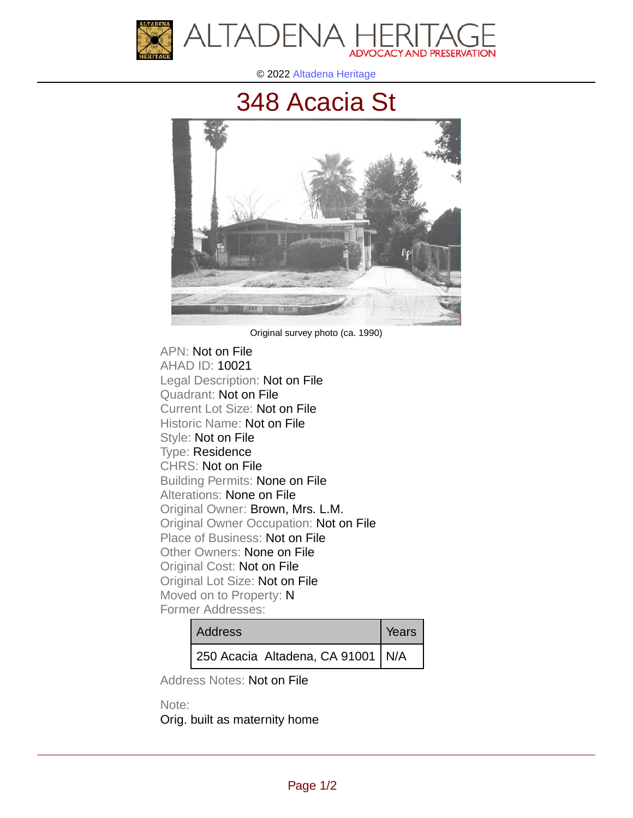



© 2022 [Altadena Heritage](http://altadenaheritage.org/)

## [348 Acacia St](ahad.altadenaheritagepdb.org/properties/10021)



Original survey photo (ca. 1990)

APN: Not on File [AHAD ID: 10021](ahad.altadenaheritagepdb.org/properties/10021) Legal Description: Not on File Quadrant: Not on File Current Lot Size: Not on File Historic Name: Not on File Style: Not on File Type: Residence CHRS: Not on File Building Permits: None on File Alterations: None on File Original Owner: Brown, Mrs. L.M. Original Owner Occupation: Not on File Place of Business: Not on File Other Owners: None on File Original Cost: Not on File Original Lot Size: Not on File Moved on to Property: N Former Addresses:

| <b>Address</b>                    | Years |
|-----------------------------------|-------|
| 250 Acacia Altadena, CA 91001 N/A |       |

Address Notes: Not on File

Note: Orig. built as maternity home